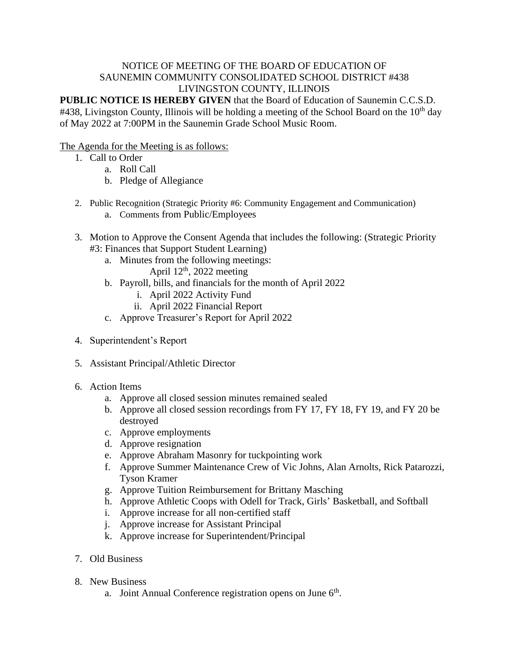## NOTICE OF MEETING OF THE BOARD OF EDUCATION OF SAUNEMIN COMMUNITY CONSOLIDATED SCHOOL DISTRICT #438 LIVINGSTON COUNTY, ILLINOIS

**PUBLIC NOTICE IS HEREBY GIVEN** that the Board of Education of Saunemin C.C.S.D. #438, Livingston County, Illinois will be holding a meeting of the School Board on the 10<sup>th</sup> day of May 2022 at 7:00PM in the Saunemin Grade School Music Room.

## The Agenda for the Meeting is as follows:

- 1. Call to Order
	- a. Roll Call
	- b. Pledge of Allegiance
- 2. Public Recognition (Strategic Priority #6: Community Engagement and Communication)
	- a. Comments from Public/Employees
- 3. Motion to Approve the Consent Agenda that includes the following: (Strategic Priority #3: Finances that Support Student Learning)
	- a. Minutes from the following meetings:
		- April  $12<sup>th</sup>$ , 2022 meeting
	- b. Payroll, bills, and financials for the month of April 2022
		- i. April 2022 Activity Fund
		- ii. April 2022 Financial Report
	- c. Approve Treasurer's Report for April 2022
- 4. Superintendent's Report
- 5. Assistant Principal/Athletic Director
- 6. Action Items
	- a. Approve all closed session minutes remained sealed
	- b. Approve all closed session recordings from FY 17, FY 18, FY 19, and FY 20 be destroyed
	- c. Approve employments
	- d. Approve resignation
	- e. Approve Abraham Masonry for tuckpointing work
	- f. Approve Summer Maintenance Crew of Vic Johns, Alan Arnolts, Rick Patarozzi, Tyson Kramer
	- g. Approve Tuition Reimbursement for Brittany Masching
	- h. Approve Athletic Coops with Odell for Track, Girls' Basketball, and Softball
	- i. Approve increase for all non-certified staff
	- j. Approve increase for Assistant Principal
	- k. Approve increase for Superintendent/Principal
- 7. Old Business
- 8. New Business
	- a. Joint Annual Conference registration opens on June  $6<sup>th</sup>$ .